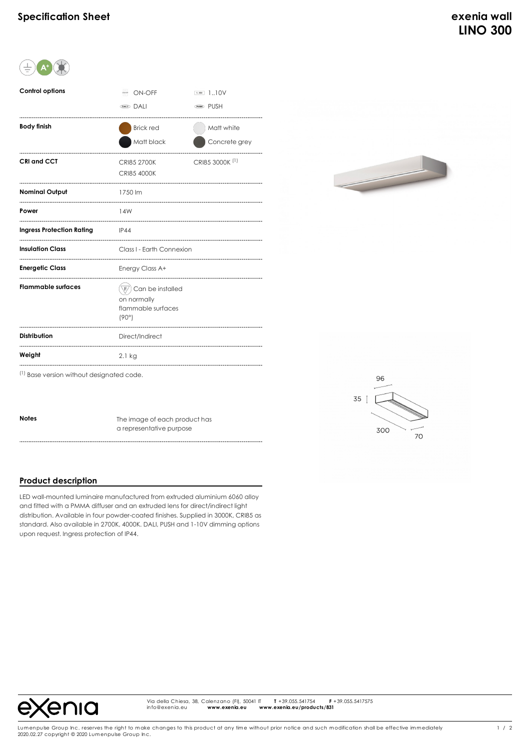

| <b>Control options</b>           | ON-OFF                      | 1.10V<br>110V              |
|----------------------------------|-----------------------------|----------------------------|
|                                  | <b>DALL</b>                 | <b>PUSH</b>                |
| <b>Body finish</b>               | <b>Brick red</b>            | Matt white                 |
|                                  | Matt black                  | Concrete grey              |
| <b>CRI and CCT</b>               | <b>CRI85 2700K</b>          | CRI85 3000K <sup>(1)</sup> |
|                                  | <b>CRI85 4000K</b>          |                            |
| <b>Nominal Output</b>            | 1750 lm                     |                            |
| Power                            | 14W                         |                            |
| <b>Ingress Protection Rating</b> | IP44                        |                            |
| <b>Insulation Class</b>          | Class I - Earth Connexion   |                            |
| <b>Energetic Class</b>           | Energy Class A+             |                            |
| <b>Flammable surfaces</b>        | Can be installed            |                            |
|                                  | on normally                 |                            |
|                                  | flammable surfaces<br>(90°) |                            |
| <b>Distribution</b>              | Direct/Indirect             |                            |
| Weight                           | $2.1$ kg                    |                            |



300

 $70^{\circ}$ 

(1) Base version without designated code.

**Notes** The image of each product has a representative purpose

## **Product description**

LED wall-mounted luminaire manufactured from extruded aluminium 6060 alloy and fitted with a PMMA diffuser and an extruded lens for direct/indirect light distribution. Available in four powder-coated finishes. Supplied in 3000K, CRI85 as standard. Also available in 2700K, 4000K. DALI, PUSH and 1-10V dimming options upon request. Ingress protection of IP44.